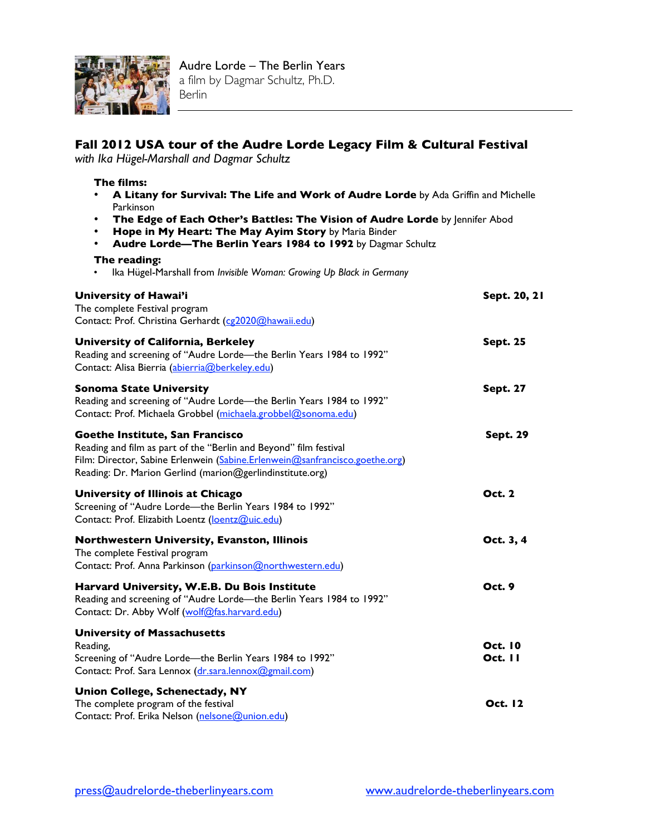

## **Fall 2012 USA tour of the Audre Lorde Legacy Film & Cultural Festival**

*with Ika Hügel-Marshall and Dagmar Schultz*

## **The films:**

- **A Litany for Survival: The Life and Work of Audre Lorde** by Ada Griffin and Michelle Parkinson
- **The Edge of Each Other's Battles: The Vision of Audre Lorde** by Jennifer Abod
- **Hope in My Heart: The May Ayim Story** by Maria Binder
- **Audre Lorde—The Berlin Years 1984 to 1992** by Dagmar Schultz

## **The reading:**

• Ika Hügel-Marshall from *Invisible Woman: Growing Up Black in Germany* 

| University of Hawai'i<br>The complete Festival program<br>Contact: Prof. Christina Gerhardt (cg2020@hawaii.edu)                                                                                                                                  | Sept. 20, 21                     |
|--------------------------------------------------------------------------------------------------------------------------------------------------------------------------------------------------------------------------------------------------|----------------------------------|
| <b>University of California, Berkeley</b><br>Reading and screening of "Audre Lorde-the Berlin Years 1984 to 1992"<br>Contact: Alisa Bierria (abierria@berkeley.edu)                                                                              | <b>Sept. 25</b>                  |
| <b>Sonoma State University</b><br>Reading and screening of "Audre Lorde-the Berlin Years 1984 to 1992"<br>Contact: Prof. Michaela Grobbel (michaela.grobbel@sonoma.edu)                                                                          | <b>Sept. 27</b>                  |
| Goethe Institute, San Francisco<br>Reading and film as part of the "Berlin and Beyond" film festival<br>Film: Director, Sabine Erlenwein (Sabine.Erlenwein@sanfrancisco.goethe.org)<br>Reading: Dr. Marion Gerlind (marion@gerlindinstitute.org) | <b>Sept. 29</b>                  |
| University of Illinois at Chicago<br>Screening of "Audre Lorde-the Berlin Years 1984 to 1992"<br>Contact: Prof. Elizabith Loentz (loentz@uic.edu)                                                                                                | <b>Oct. 2</b>                    |
| Northwestern University, Evanston, Illinois<br>The complete Festival program<br>Contact: Prof. Anna Parkinson (parkinson@northwestern.edu)                                                                                                       | Oct. 3, 4                        |
| Harvard University, W.E.B. Du Bois Institute<br>Reading and screening of "Audre Lorde-the Berlin Years 1984 to 1992"<br>Contact: Dr. Abby Wolf (wolf@fas.harvard.edu)                                                                            | <b>Oct. 9</b>                    |
| <b>University of Massachusetts</b><br>Reading,<br>Screening of "Audre Lorde-the Berlin Years 1984 to 1992"<br>Contact: Prof. Sara Lennox (dr.sara.lennox@gmail.com)                                                                              | <b>Oct. 10</b><br><b>Oct. 11</b> |
| <b>Union College, Schenectady, NY</b><br>The complete program of the festival<br>Contact: Prof. Erika Nelson (nelsone@union.edu)                                                                                                                 | <b>Oct. 12</b>                   |